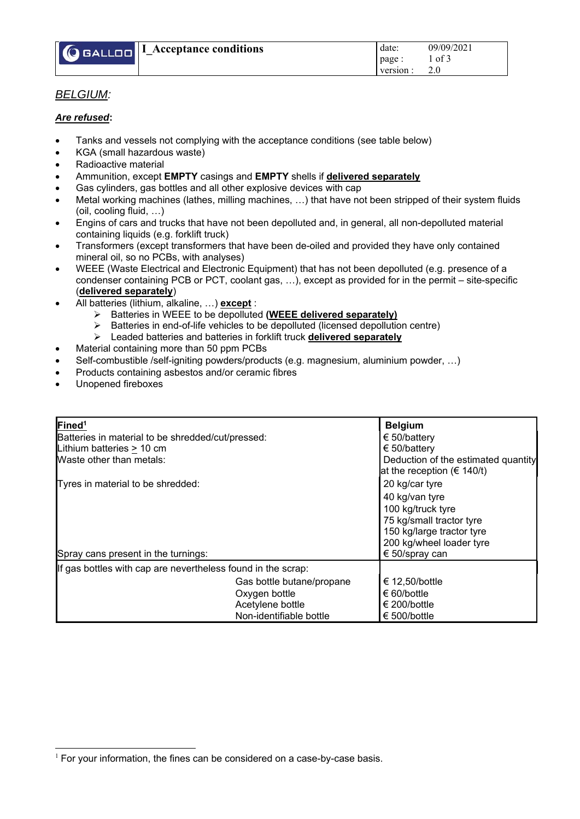

## *BELGIUM:*

## *Are refused***:**

- Tanks and vessels not complying with the acceptance conditions (see table below)
- KGA (small hazardous waste)
- Radioactive material
- Ammunition, except **EMPTY** casings and **EMPTY** shells if **delivered separately**
- Gas cylinders, gas bottles and all other explosive devices with cap
- Metal working machines (lathes, milling machines, …) that have not been stripped of their system fluids (oil, cooling fluid, …)
- Engins of cars and trucks that have not been depolluted and, in general, all non-depolluted material containing liquids (e.g. forklift truck)
- Transformers (except transformers that have been de-oiled and provided they have only contained mineral oil, so no PCBs, with analyses)
- WEEE (Waste Electrical and Electronic Equipment) that has not been depolluted (e.g. presence of a condenser containing PCB or PCT, coolant gas, …), except as provided for in the permit – site-specific (**delivered separately**)
	- All batteries (lithium, alkaline, …) **except** :
		- Batteries in WEEE to be depolluted **(WEEE delivered separately)**
		- $\triangleright$  Batteries in end-of-life vehicles to be depolluted (licensed depollution centre)
		- Leaded batteries and batteries in forklift truck **delivered separately**
- Material containing more than 50 ppm PCBs
- Self-combustible /self-igniting powders/products (e.g. magnesium, aluminium powder, …)
- Products containing asbestos and/or ceramic fibres
- Unopened fireboxes

| Fined <sup>1</sup>                                           |                                     | <b>Belgium</b>                  |  |  |
|--------------------------------------------------------------|-------------------------------------|---------------------------------|--|--|
| Batteries in material to be shredded/cut/pressed:            | € 50/battery                        |                                 |  |  |
| Lithium batteries $\geq 10$ cm                               | € 50/battery                        |                                 |  |  |
| Waste other than metals:                                     | Deduction of the estimated quantity |                                 |  |  |
|                                                              |                                     | at the reception ( $\in$ 140/t) |  |  |
| Tyres in material to be shredded:                            | 20 kg/car tyre                      |                                 |  |  |
|                                                              |                                     | 40 kg/van tyre                  |  |  |
|                                                              |                                     | 100 kg/truck tyre               |  |  |
|                                                              |                                     | 75 kg/small tractor tyre        |  |  |
|                                                              |                                     | 150 kg/large tractor tyre       |  |  |
|                                                              |                                     | 200 kg/wheel loader tyre        |  |  |
| Spray cans present in the turnings:                          | € 50/spray can                      |                                 |  |  |
| If gas bottles with cap are nevertheless found in the scrap: |                                     |                                 |  |  |
|                                                              | Gas bottle butane/propane           | € 12,50/bottle                  |  |  |
|                                                              | Oxygen bottle                       | € 60/bottle                     |  |  |
|                                                              | Acetylene bottle                    | € 200/bottle                    |  |  |
|                                                              | Non-identifiable bottle             | € 500/bottle                    |  |  |

 $1$  For your information, the fines can be considered on a case-by-case basis.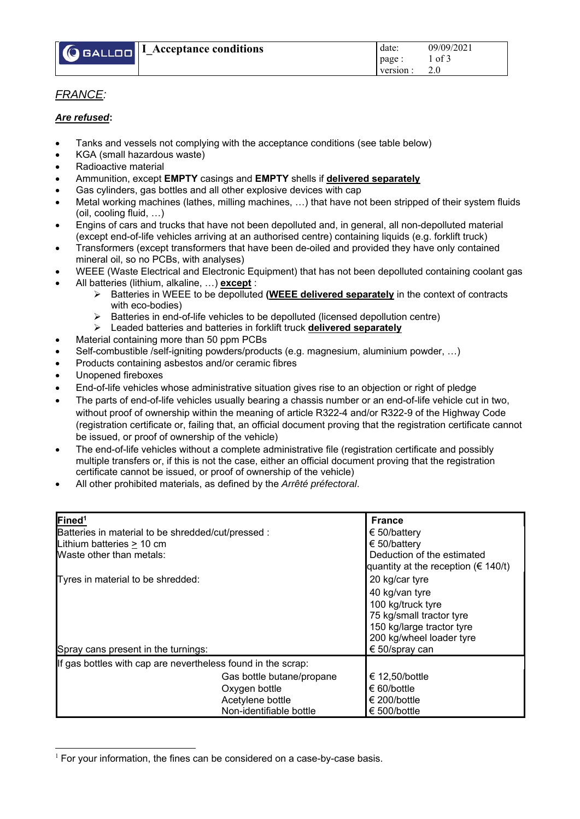

## *FRANCE:*

## *Are refused***:**

- Tanks and vessels not complying with the acceptance conditions (see table below)
- KGA (small hazardous waste)
- Radioactive material
- Ammunition, except **EMPTY** casings and **EMPTY** shells if **delivered separately**
- Gas cylinders, gas bottles and all other explosive devices with cap
- Metal working machines (lathes, milling machines, …) that have not been stripped of their system fluids (oil, cooling fluid, …)
- Engins of cars and trucks that have not been depolluted and, in general, all non-depolluted material (except end-of-life vehicles arriving at an authorised centre) containing liquids (e.g. forklift truck)
- Transformers (except transformers that have been de-oiled and provided they have only contained mineral oil, so no PCBs, with analyses)
- WEEE (Waste Electrical and Electronic Equipment) that has not been depolluted containing coolant gas
- All batteries (lithium, alkaline, …) **except** :
	- Batteries in WEEE to be depolluted **(WEEE delivered separately** in the context of contracts with eco-bodies)
	- Batteries in end-of-life vehicles to be depolluted (licensed depollution centre)
	- Leaded batteries and batteries in forklift truck **delivered separately**
- Material containing more than 50 ppm PCBs
- Self-combustible /self-igniting powders/products (e.g. magnesium, aluminium powder, …)
- Products containing asbestos and/or ceramic fibres
- Unopened fireboxes
- End-of-life vehicles whose administrative situation gives rise to an objection or right of pledge
- The parts of end-of-life vehicles usually bearing a chassis number or an end-of-life vehicle cut in two, without proof of ownership within the meaning of article R322-4 and/or R322-9 of the Highway Code (registration certificate or, failing that, an official document proving that the registration certificate cannot be issued, or proof of ownership of the vehicle)
- The end-of-life vehicles without a complete administrative file (registration certificate and possibly multiple transfers or, if this is not the case, either an official document proving that the registration certificate cannot be issued, or proof of ownership of the vehicle)
- All other prohibited materials, as defined by the *Arrêté préfectoral*.

| Fined <sup>1</sup><br>Batteries in material to be shredded/cut/pressed :<br>Lithium batteries > 10 cm<br>Waste other than metals:<br>Tyres in material to be shredded: |                                                                                           | <b>France</b><br>€ 50/battery<br>€ 50/battery<br>Deduction of the estimated<br>quantity at the reception ( $\in$ 140/t)<br>20 kg/car tyre  |  |  |  |
|------------------------------------------------------------------------------------------------------------------------------------------------------------------------|-------------------------------------------------------------------------------------------|--------------------------------------------------------------------------------------------------------------------------------------------|--|--|--|
| Spray cans present in the turnings:                                                                                                                                    |                                                                                           | 40 kg/van tyre<br>100 kg/truck tyre<br>75 kg/small tractor tyre<br>150 kg/large tractor tyre<br>200 kg/wheel loader tyre<br>€ 50/spray can |  |  |  |
| If gas bottles with cap are nevertheless found in the scrap:                                                                                                           |                                                                                           |                                                                                                                                            |  |  |  |
|                                                                                                                                                                        | Gas bottle butane/propane<br>Oxygen bottle<br>Acetylene bottle<br>Non-identifiable bottle | € 12,50/bottle<br>€ 60/bottle<br>€ 200/bottle<br>€ 500/bottle                                                                              |  |  |  |

 $1$  For your information, the fines can be considered on a case-by-case basis.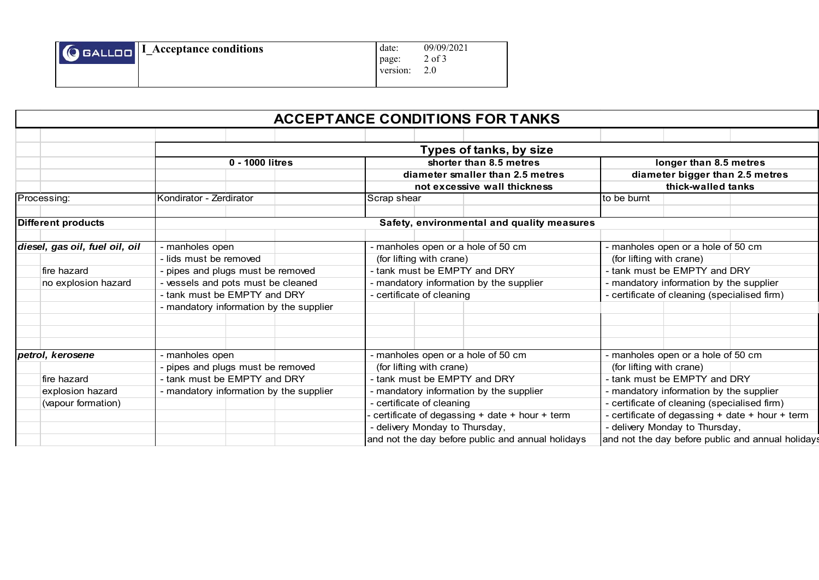| $\sqrt{Q}$ GALLOO $\sqrt{I}$ Acceptance conditions | date:<br>page:<br>version: | 09/09/2021<br>2 of 3<br>2.0 |
|----------------------------------------------------|----------------------------|-----------------------------|
|                                                    |                            |                             |

|                                                  |                                            | <b>ACCEPTANCE CONDITIONS FOR TANKS</b>            |                                                       |  |  |  |  |  |
|--------------------------------------------------|--------------------------------------------|---------------------------------------------------|-------------------------------------------------------|--|--|--|--|--|
|                                                  |                                            |                                                   |                                                       |  |  |  |  |  |
|                                                  | Types of tanks, by size                    |                                                   |                                                       |  |  |  |  |  |
|                                                  | 0 - 1000 litres                            | shorter than 8.5 metres                           | longer than 8.5 metres                                |  |  |  |  |  |
|                                                  |                                            | diameter smaller than 2.5 metres                  | diameter bigger than 2.5 metres<br>thick-walled tanks |  |  |  |  |  |
|                                                  |                                            | not excessive wall thickness                      |                                                       |  |  |  |  |  |
| Processing:                                      | Kondirator - Zerdirator                    | Scrap shear                                       | to be burnt                                           |  |  |  |  |  |
| Different products                               | Safety, environmental and quality measures |                                                   |                                                       |  |  |  |  |  |
| diesel, gas oil, fuel oil, oil                   | - manholes open                            | - manholes open or a hole of 50 cm                | - manholes open or a hole of 50 cm                    |  |  |  |  |  |
|                                                  | - lids must be removed                     | (for lifting with crane)                          | (for lifting with crane)                              |  |  |  |  |  |
| fire hazard<br>- pipes and plugs must be removed |                                            | - tank must be EMPTY and DRY                      | - tank must be EMPTY and DRY                          |  |  |  |  |  |
| no explosion hazard                              | - vessels and pots must be cleaned         | - mandatory information by the supplier           | - mandatory information by the supplier               |  |  |  |  |  |
|                                                  | - tank must be EMPTY and DRY               | - certificate of cleaning                         | - certificate of cleaning (specialised firm)          |  |  |  |  |  |
|                                                  | - mandatory information by the supplier    |                                                   |                                                       |  |  |  |  |  |
|                                                  |                                            |                                                   |                                                       |  |  |  |  |  |
| petrol, kerosene                                 | - manholes open                            | - manholes open or a hole of 50 cm                | - manholes open or a hole of 50 cm                    |  |  |  |  |  |
|                                                  | - pipes and plugs must be removed          | (for lifting with crane)                          | (for lifting with crane)                              |  |  |  |  |  |
| fire hazard                                      | - tank must be EMPTY and DRY               | - tank must be EMPTY and DRY                      | - tank must be EMPTY and DRY                          |  |  |  |  |  |
| explosion hazard                                 | - mandatory information by the supplier    | - mandatory information by the supplier           | - mandatory information by the supplier               |  |  |  |  |  |
| (vapour formation)                               |                                            | - certificate of cleaning                         | - certificate of cleaning (specialised firm)          |  |  |  |  |  |
|                                                  |                                            | certificate of degassing + date + hour + term     | - certificate of degassing + date + hour + term       |  |  |  |  |  |
|                                                  |                                            | - delivery Monday to Thursday,                    | - delivery Monday to Thursday,                        |  |  |  |  |  |
|                                                  |                                            | and not the day before public and annual holidays | and not the day before public and annual holiday      |  |  |  |  |  |